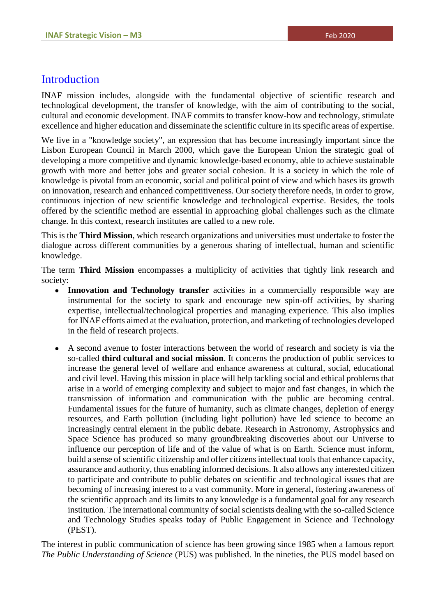#### **Introduction**

INAF mission includes, alongside with the fundamental objective of scientific research and technological development, the transfer of knowledge, with the aim of contributing to the social, cultural and economic development. INAF commits to transfer know-how and technology, stimulate excellence and higher education and disseminate the scientific culture in its specific areas of expertise.

We live in a "knowledge society", an expression that has become increasingly important since the Lisbon European Council in March 2000, which gave the European Union the strategic goal of developing a more competitive and dynamic knowledge-based economy, able to achieve sustainable growth with more and better jobs and greater social cohesion. It is a society in which the role of knowledge is pivotal from an economic, social and political point of view and which bases its growth on innovation, research and enhanced competitiveness. Our society therefore needs, in order to grow, continuous injection of new scientific knowledge and technological expertise. Besides, the tools offered by the scientific method are essential in approaching global challenges such as the climate change. In this context, research institutes are called to a new role.

This is the **Third Mission**, which research organizations and universities must undertake to foster the dialogue across different communities by a generous sharing of intellectual, human and scientific knowledge.

The term **Third Mission** encompasses a multiplicity of activities that tightly link research and society:

- **Innovation and Technology transfer** activities in a commercially responsible way are instrumental for the society to spark and encourage new spin-off activities, by sharing expertise, intellectual/technological properties and managing experience. This also implies for INAF efforts aimed at the evaluation, protection, and marketing of technologies developed in the field of research projects.
- A second avenue to foster interactions between the world of research and society is via the so-called **third cultural and social mission**. It concerns the production of public services to increase the general level of welfare and enhance awareness at cultural, social, educational and civil level. Having this mission in place will help tackling social and ethical problems that arise in a world of emerging complexity and subject to major and fast changes, in which the transmission of information and communication with the public are becoming central. Fundamental issues for the future of humanity, such as climate changes, depletion of energy resources, and Earth pollution (including light pollution) have led science to become an increasingly central element in the public debate. Research in Astronomy, Astrophysics and Space Science has produced so many groundbreaking discoveries about our Universe to influence our perception of life and of the value of what is on Earth. Science must inform, build a sense of scientific citizenship and offer citizens intellectual tools that enhance capacity, assurance and authority, thus enabling informed decisions. It also allows any interested citizen to participate and contribute to public debates on scientific and technological issues that are becoming of increasing interest to a vast community. More in general, fostering awareness of the scientific approach and its limits to any knowledge is a fundamental goal for any research institution. The international community of social scientists dealing with the so-called Science and Technology Studies speaks today of Public Engagement in Science and Technology (PEST).

The interest in public communication of science has been growing since 1985 when a famous report *The Public Understanding of Science* (PUS) was published. In the nineties, the PUS model based on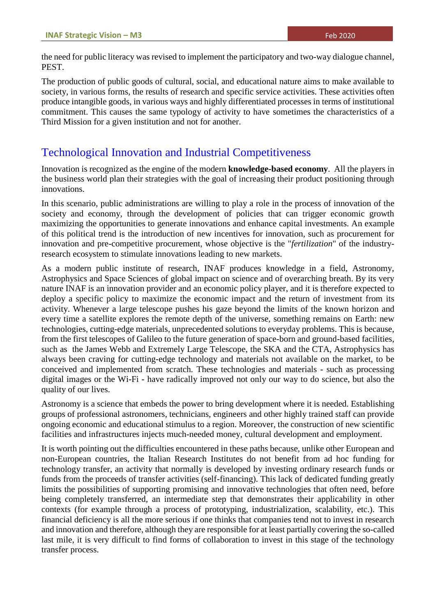the need for public literacy was revised to implement the participatory and two-way dialogue channel, PEST.

The production of public goods of cultural, social, and educational nature aims to make available to society, in various forms, the results of research and specific service activities. These activities often produce intangible goods, in various ways and highly differentiated processes in terms of institutional commitment. This causes the same typology of activity to have sometimes the characteristics of a Third Mission for a given institution and not for another.

## Technological Innovation and Industrial Competitiveness

Innovation is recognized as the engine of the modern **knowledge-based economy**. All the players in the business world plan their strategies with the goal of increasing their product positioning through innovations.

In this scenario, public administrations are willing to play a role in the process of innovation of the society and economy, through the development of policies that can trigger economic growth maximizing the opportunities to generate innovations and enhance capital investments. An example of this political trend is the introduction of new incentives for innovation, such as procurement for innovation and pre-competitive procurement, whose objective is the "*fertilization*" of the industryresearch ecosystem to stimulate innovations leading to new markets.

As a modern public institute of research, INAF produces knowledge in a field, Astronomy, Astrophysics and Space Sciences of global impact on science and of overarching breath. By its very nature INAF is an innovation provider and an economic policy player, and it is therefore expected to deploy a specific policy to maximize the economic impact and the return of investment from its activity. Whenever a large telescope pushes his gaze beyond the limits of the known horizon and every time a satellite explores the remote depth of the universe, something remains on Earth: new technologies, cutting-edge materials, unprecedented solutions to everyday problems. This is because, from the first telescopes of Galileo to the future generation of space-born and ground-based facilities, such as the James Webb and Extremely Large Telescope, the SKA and the CTA, Astrophysics has always been craving for cutting-edge technology and materials not available on the market, to be conceived and implemented from scratch. These technologies and materials - such as processing digital images or the Wi-Fi - have radically improved not only our way to do science, but also the quality of our lives.

Astronomy is a science that embeds the power to bring development where it is needed. Establishing groups of professional astronomers, technicians, engineers and other highly trained staff can provide ongoing economic and educational stimulus to a region. Moreover, the construction of new scientific facilities and infrastructures injects much-needed money, cultural development and employment.

It is worth pointing out the difficulties encountered in these paths because, unlike other European and non-European countries, the Italian Research Institutes do not benefit from ad hoc funding for technology transfer, an activity that normally is developed by investing ordinary research funds or funds from the proceeds of transfer activities (self-financing). This lack of dedicated funding greatly limits the possibilities of supporting promising and innovative technologies that often need, before being completely transferred, an intermediate step that demonstrates their applicability in other contexts (for example through a process of prototyping, industrialization, scalability, etc.). This financial deficiency is all the more serious if one thinks that companies tend not to invest in research and innovation and therefore, although they are responsible for at least partially covering the so-called last mile, it is very difficult to find forms of collaboration to invest in this stage of the technology transfer process.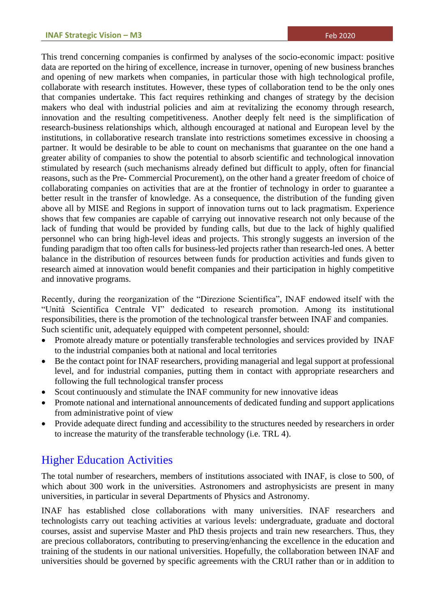This trend concerning companies is confirmed by analyses of the socio-economic impact: positive data are reported on the hiring of excellence, increase in turnover, opening of new business branches and opening of new markets when companies, in particular those with high technological profile, collaborate with research institutes. However, these types of collaboration tend to be the only ones that companies undertake. This fact requires rethinking and changes of strategy by the decision makers who deal with industrial policies and aim at revitalizing the economy through research, innovation and the resulting competitiveness. Another deeply felt need is the simplification of research-business relationships which, although encouraged at national and European level by the institutions, in collaborative research translate into restrictions sometimes excessive in choosing a partner. It would be desirable to be able to count on mechanisms that guarantee on the one hand a greater ability of companies to show the potential to absorb scientific and technological innovation stimulated by research (such mechanisms already defined but difficult to apply, often for financial reasons, such as the Pre- Commercial Procurement), on the other hand a greater freedom of choice of collaborating companies on activities that are at the frontier of technology in order to guarantee a better result in the transfer of knowledge. As a consequence, the distribution of the funding given above all by MISE and Regions in support of innovation turns out to lack pragmatism. Experience shows that few companies are capable of carrying out innovative research not only because of the lack of funding that would be provided by funding calls, but due to the lack of highly qualified personnel who can bring high-level ideas and projects. This strongly suggests an inversion of the funding paradigm that too often calls for business-led projects rather than research-led ones. A better balance in the distribution of resources between funds for production activities and funds given to research aimed at innovation would benefit companies and their participation in highly competitive and innovative programs.

Recently, during the reorganization of the "Direzione Scientifica", INAF endowed itself with the "Unità Scientifica Centrale VI" dedicated to research promotion. Among its institutional responsibilities, there is the promotion of the technological transfer between INAF and companies. Such scientific unit, adequately equipped with competent personnel, should:

- Promote already mature or potentially transferable technologies and services provided by INAF to the industrial companies both at national and local territories
- Be the contact point for INAF researchers, providing managerial and legal support at professional level, and for industrial companies, putting them in contact with appropriate researchers and following the full technological transfer process
- Scout continuously and stimulate the INAF community for new innovative ideas
- Promote national and international announcements of dedicated funding and support applications from administrative point of view
- Provide adequate direct funding and accessibility to the structures needed by researchers in order to increase the maturity of the transferable technology (i.e. TRL 4).

## Higher Education Activities

The total number of researchers, members of institutions associated with INAF, is close to 500, of which about 300 work in the universities. Astronomers and astrophysicists are present in many universities, in particular in several Departments of Physics and Astronomy.

INAF has established close collaborations with many universities. INAF researchers and technologists carry out teaching activities at various levels: undergraduate, graduate and doctoral courses, assist and supervise Master and PhD thesis projects and train new researchers. Thus, they are precious collaborators, contributing to preserving/enhancing the excellence in the education and training of the students in our national universities. Hopefully, the collaboration between INAF and universities should be governed by specific agreements with the CRUI rather than or in addition to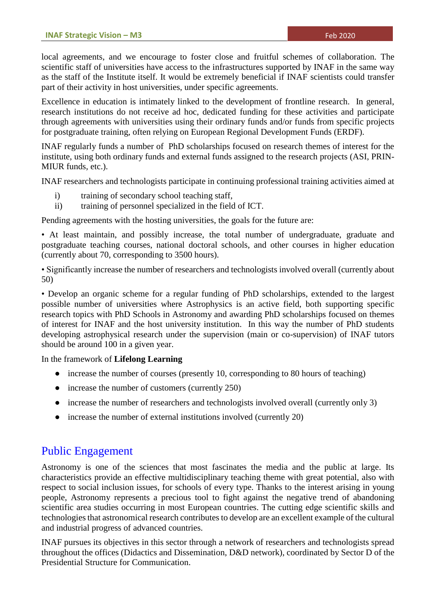local agreements, and we encourage to foster close and fruitful schemes of collaboration. The scientific staff of universities have access to the infrastructures supported by INAF in the same way as the staff of the Institute itself. It would be extremely beneficial if INAF scientists could transfer part of their activity in host universities, under specific agreements.

Excellence in education is intimately linked to the development of frontline research. In general, research institutions do not receive ad hoc, dedicated funding for these activities and participate through agreements with universities using their ordinary funds and/or funds from specific projects for postgraduate training, often relying on European Regional Development Funds (ERDF).

INAF regularly funds a number of PhD scholarships focused on research themes of interest for the institute, using both ordinary funds and external funds assigned to the research projects (ASI, PRIN-MIUR funds, etc.).

INAF researchers and technologists participate in continuing professional training activities aimed at

- i) training of secondary school teaching staff,
- ii) training of personnel specialized in the field of ICT.

Pending agreements with the hosting universities, the goals for the future are:

• At least maintain, and possibly increase, the total number of undergraduate, graduate and postgraduate teaching courses, national doctoral schools, and other courses in higher education (currently about 70, corresponding to 3500 hours).

• Significantly increase the number of researchers and technologists involved overall (currently about 50)

• Develop an organic scheme for a regular funding of PhD scholarships, extended to the largest possible number of universities where Astrophysics is an active field, both supporting specific research topics with PhD Schools in Astronomy and awarding PhD scholarships focused on themes of interest for INAF and the host university institution. In this way the number of PhD students developing astrophysical research under the supervision (main or co-supervision) of INAF tutors should be around 100 in a given year.

In the framework of **Lifelong Learning**

- $\bullet$  increase the number of courses (presently 10, corresponding to 80 hours of teaching)
- increase the number of customers (currently 250)
- increase the number of researchers and technologists involved overall (currently only 3)
- increase the number of external institutions involved (currently 20)

## Public Engagement

Astronomy is one of the sciences that most fascinates the media and the public at large. Its characteristics provide an effective multidisciplinary teaching theme with great potential, also with respect to social inclusion issues, for schools of every type. Thanks to the interest arising in young people, Astronomy represents a precious tool to fight against the negative trend of abandoning scientific area studies occurring in most European countries. The cutting edge scientific skills and technologies that astronomical research contributes to develop are an excellent example of the cultural and industrial progress of advanced countries.

INAF pursues its objectives in this sector through a network of researchers and technologists spread throughout the offices (Didactics and Dissemination, D&D network), coordinated by Sector D of the Presidential Structure for Communication.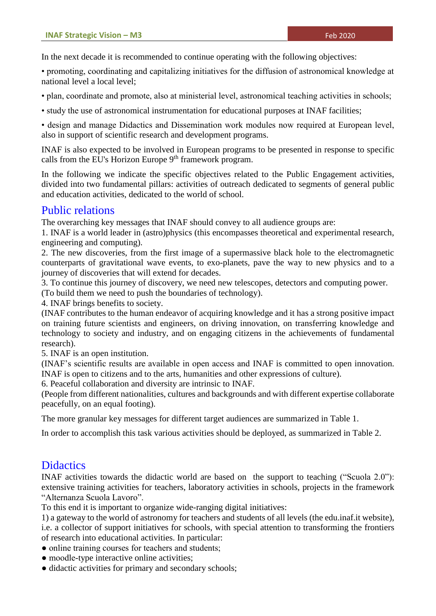In the next decade it is recommended to continue operating with the following objectives:

• promoting, coordinating and capitalizing initiatives for the diffusion of astronomical knowledge at national level a local level;

• plan, coordinate and promote, also at ministerial level, astronomical teaching activities in schools;

• study the use of astronomical instrumentation for educational purposes at INAF facilities;

• design and manage Didactics and Dissemination work modules now required at European level, also in support of scientific research and development programs.

INAF is also expected to be involved in European programs to be presented in response to specific calls from the EU's Horizon Europe  $9<sup>th</sup>$  framework program.

In the following we indicate the specific objectives related to the Public Engagement activities, divided into two fundamental pillars: activities of outreach dedicated to segments of general public and education activities, dedicated to the world of school.

## Public relations

The overarching key messages that INAF should convey to all audience groups are:

1. INAF is a world leader in (astro)physics (this encompasses theoretical and experimental research, engineering and computing).

2. The new discoveries, from the first image of a supermassive black hole to the electromagnetic counterparts of gravitational wave events, to exo-planets, pave the way to new physics and to a journey of discoveries that will extend for decades.

3. To continue this journey of discovery, we need new telescopes, detectors and computing power.

(To build them we need to push the boundaries of technology).

4. INAF brings benefits to society.

(INAF contributes to the human endeavor of acquiring knowledge and it has a strong positive impact on training future scientists and engineers, on driving innovation, on transferring knowledge and technology to society and industry, and on engaging citizens in the achievements of fundamental research).

5. INAF is an open institution.

(INAF's scientific results are available in open access and INAF is committed to open innovation. INAF is open to citizens and to the arts, humanities and other expressions of culture).

6. Peaceful collaboration and diversity are intrinsic to INAF.

(People from different nationalities, cultures and backgrounds and with different expertise collaborate peacefully, on an equal footing).

The more granular key messages for different target audiences are summarized in Table 1.

In order to accomplish this task various activities should be deployed, as summarized in Table 2.

## **Didactics**

INAF activities towards the didactic world are based on the support to teaching ("Scuola 2.0"): extensive training activities for teachers, laboratory activities in schools, projects in the framework "Alternanza Scuola Lavoro".

To this end it is important to organize wide-ranging digital initiatives:

1) a gateway to the world of astronomy for teachers and students of all levels (the edu.inaf.it website), i.e. a collector of support initiatives for schools, with special attention to transforming the frontiers of research into educational activities. In particular:

• online training courses for teachers and students;

- moodle-type interactive online activities:
- didactic activities for primary and secondary schools;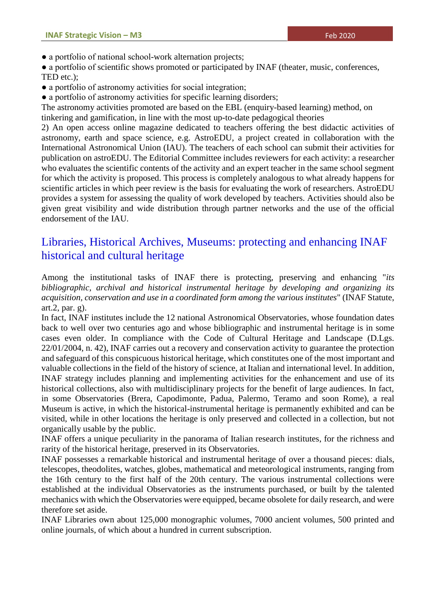• a portfolio of national school-work alternation projects;

• a portfolio of scientific shows promoted or participated by INAF (theater, music, conferences, TED etc.);

• a portfolio of astronomy activities for social integration;

• a portfolio of astronomy activities for specific learning disorders;

The astronomy activities promoted are based on the EBL (enquiry-based learning) method, on

tinkering and gamification, in line with the most up-to-date pedagogical theories

2) An open access online magazine dedicated to teachers offering the best didactic activities of astronomy, earth and space science, e.g. AstroEDU, a project created in collaboration with the International Astronomical Union (IAU). The teachers of each school can submit their activities for publication on astroEDU. The Editorial Committee includes reviewers for each activity: a researcher who evaluates the scientific contents of the activity and an expert teacher in the same school segment for which the activity is proposed. This process is completely analogous to what already happens for scientific articles in which peer review is the basis for evaluating the work of researchers. AstroEDU provides a system for assessing the quality of work developed by teachers. Activities should also be given great visibility and wide distribution through partner networks and the use of the official endorsement of the IAU.

# Libraries, Historical Archives, Museums: protecting and enhancing INAF historical and cultural heritage

Among the institutional tasks of INAF there is protecting, preserving and enhancing "*its bibliographic, archival and historical instrumental heritage by developing and organizing its acquisition, conservation and use in a coordinated form among the various institutes*" (INAF Statute, art.2, par. g).

In fact, INAF institutes include the 12 national Astronomical Observatories, whose foundation dates back to well over two centuries ago and whose bibliographic and instrumental heritage is in some cases even older. In compliance with the Code of Cultural Heritage and Landscape (D.Lgs. 22/01/2004, n. 42), INAF carries out a recovery and conservation activity to guarantee the protection and safeguard of this conspicuous historical heritage, which constitutes one of the most important and valuable collections in the field of the history of science, at Italian and international level. In addition, INAF strategy includes planning and implementing activities for the enhancement and use of its historical collections, also with multidisciplinary projects for the benefit of large audiences. In fact, in some Observatories (Brera, Capodimonte, Padua, Palermo, Teramo and soon Rome), a real Museum is active, in which the historical-instrumental heritage is permanently exhibited and can be visited, while in other locations the heritage is only preserved and collected in a collection, but not organically usable by the public.

INAF offers a unique peculiarity in the panorama of Italian research institutes, for the richness and rarity of the historical heritage, preserved in its Observatories.

INAF possesses a remarkable historical and instrumental heritage of over a thousand pieces: dials, telescopes, theodolites, watches, globes, mathematical and meteorological instruments, ranging from the 16th century to the first half of the 20th century. The various instrumental collections were established at the individual Observatories as the instruments purchased, or built by the talented mechanics with which the Observatories were equipped, became obsolete for daily research, and were therefore set aside.

INAF Libraries own about 125,000 monographic volumes, 7000 ancient volumes, 500 printed and online journals, of which about a hundred in current subscription.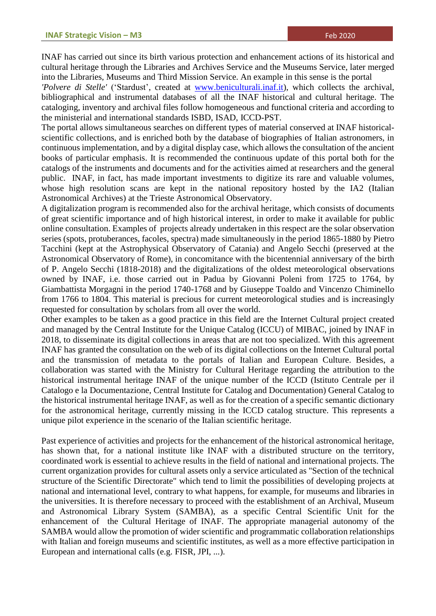INAF has carried out since its birth various protection and enhancement actions of its historical and cultural heritage through the Libraries and Archives Service and the Museums Service, later merged into the Libraries, Museums and Third Mission Service. An example in this sense is the portal

*'Polvere di Stelle'* ('Stardust', created at [www.beniculturali.inaf.it\)](http://www.beniculturali.inaf.it/), which collects the archival, bibliographical and instrumental databases of all the INAF historical and cultural heritage. The cataloging, inventory and archival files follow homogeneous and functional criteria and according to the ministerial and international standards ISBD, ISAD, ICCD-PST.

The portal allows simultaneous searches on different types of material conserved at INAF historicalscientific collections, and is enriched both by the database of biographies of Italian astronomers, in continuous implementation, and by a digital display case, which allows the consultation of the ancient books of particular emphasis. It is recommended the continuous update of this portal both for the catalogs of the instruments and documents and for the activities aimed at researchers and the general public. INAF, in fact, has made important investments to digitize its rare and valuable volumes, whose high resolution scans are kept in the national repository hosted by the IA2 (Italian Astronomical Archives) at the Trieste Astronomical Observatory.

A digitalization program is recommended also for the archival heritage, which consists of documents of great scientific importance and of high historical interest, in order to make it available for public online consultation. Examples of projects already undertaken in this respect are the solar observation series (spots, protuberances, facoles, spectra) made simultaneously in the period 1865-1880 by Pietro Tacchini (kept at the Astrophysical Observatory of Catania) and Angelo Secchi (preserved at the Astronomical Observatory of Rome), in concomitance with the bicentennial anniversary of the birth of P. Angelo Secchi (1818-2018) and the digitalizations of the oldest meteorological observations owned by INAF, i.e. those carried out in Padua by Giovanni Poleni from 1725 to 1764, by Giambattista Morgagni in the period 1740-1768 and by Giuseppe Toaldo and Vincenzo Chiminello from 1766 to 1804. This material is precious for current meteorological studies and is increasingly requested for consultation by scholars from all over the world.

Other examples to be taken as a good practice in this field are the Internet Cultural project created and managed by the Central Institute for the Unique Catalog (ICCU) of MIBAC, joined by INAF in 2018, to disseminate its digital collections in areas that are not too specialized. With this agreement INAF has granted the consultation on the web of its digital collections on the Internet Cultural portal and the transmission of metadata to the portals of Italian and European Culture. Besides, a collaboration was started with the Ministry for Cultural Heritage regarding the attribution to the historical instrumental heritage INAF of the unique number of the ICCD (Istituto Centrale per il Catalogo e la Documentazione, Central Institute for Catalog and Documentation) General Catalog to the historical instrumental heritage INAF, as well as for the creation of a specific semantic dictionary for the astronomical heritage, currently missing in the ICCD catalog structure. This represents a unique pilot experience in the scenario of the Italian scientific heritage.

Past experience of activities and projects for the enhancement of the historical astronomical heritage, has shown that, for a national institute like INAF with a distributed structure on the territory, coordinated work is essential to achieve results in the field of national and international projects. The current organization provides for cultural assets only a service articulated as "Section of the technical structure of the Scientific Directorate" which tend to limit the possibilities of developing projects at national and international level, contrary to what happens, for example, for museums and libraries in the universities. It is therefore necessary to proceed with the establishment of an Archival, Museum and Astronomical Library System (SAMBA), as a specific Central Scientific Unit for the enhancement of the Cultural Heritage of INAF. The appropriate managerial autonomy of the SAMBA would allow the promotion of wider scientific and programmatic collaboration relationships with Italian and foreign museums and scientific institutes, as well as a more effective participation in European and international calls (e.g. FISR, JPI, ...).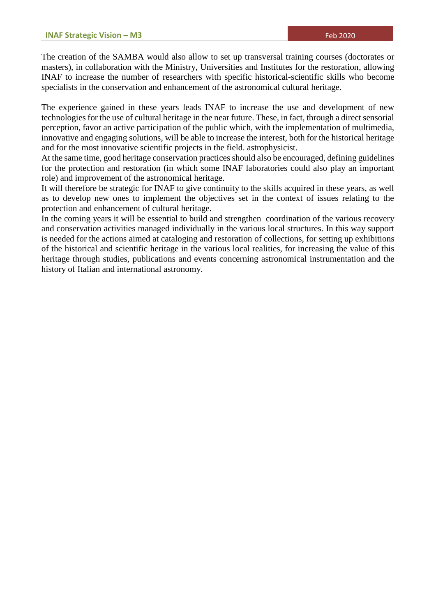The creation of the SAMBA would also allow to set up transversal training courses (doctorates or masters), in collaboration with the Ministry, Universities and Institutes for the restoration, allowing INAF to increase the number of researchers with specific historical-scientific skills who become specialists in the conservation and enhancement of the astronomical cultural heritage.

The experience gained in these years leads INAF to increase the use and development of new technologies for the use of cultural heritage in the near future. These, in fact, through a direct sensorial perception, favor an active participation of the public which, with the implementation of multimedia, innovative and engaging solutions, will be able to increase the interest, both for the historical heritage and for the most innovative scientific projects in the field. astrophysicist.

At the same time, good heritage conservation practices should also be encouraged, defining guidelines for the protection and restoration (in which some INAF laboratories could also play an important role) and improvement of the astronomical heritage.

It will therefore be strategic for INAF to give continuity to the skills acquired in these years, as well as to develop new ones to implement the objectives set in the context of issues relating to the protection and enhancement of cultural heritage.

In the coming years it will be essential to build and strengthen coordination of the various recovery and conservation activities managed individually in the various local structures. In this way support is needed for the actions aimed at cataloging and restoration of collections, for setting up exhibitions of the historical and scientific heritage in the various local realities, for increasing the value of this heritage through studies, publications and events concerning astronomical instrumentation and the history of Italian and international astronomy.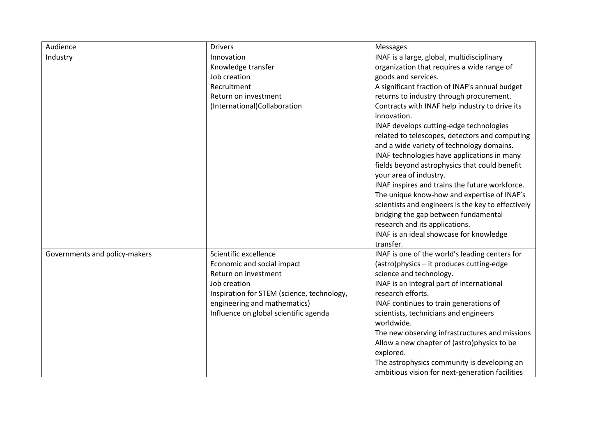| Audience                      | <b>Drivers</b>                                                        | Messages                                                                                    |
|-------------------------------|-----------------------------------------------------------------------|---------------------------------------------------------------------------------------------|
| Industry                      | Innovation                                                            | INAF is a large, global, multidisciplinary                                                  |
|                               | Knowledge transfer                                                    | organization that requires a wide range of                                                  |
|                               | Job creation                                                          | goods and services.                                                                         |
|                               | Recruitment                                                           | A significant fraction of INAF's annual budget                                              |
|                               | Return on investment                                                  | returns to industry through procurement.                                                    |
|                               | (International)Collaboration                                          | Contracts with INAF help industry to drive its                                              |
|                               |                                                                       | innovation.                                                                                 |
|                               |                                                                       | INAF develops cutting-edge technologies                                                     |
|                               |                                                                       | related to telescopes, detectors and computing                                              |
|                               |                                                                       | and a wide variety of technology domains.                                                   |
|                               |                                                                       | INAF technologies have applications in many                                                 |
|                               |                                                                       | fields beyond astrophysics that could benefit                                               |
|                               |                                                                       | your area of industry.                                                                      |
|                               |                                                                       | INAF inspires and trains the future workforce.                                              |
|                               |                                                                       | The unique know-how and expertise of INAF's                                                 |
|                               |                                                                       | scientists and engineers is the key to effectively                                          |
|                               |                                                                       | bridging the gap between fundamental                                                        |
|                               |                                                                       | research and its applications.                                                              |
|                               |                                                                       | INAF is an ideal showcase for knowledge<br>transfer.                                        |
|                               | Scientific excellence                                                 |                                                                                             |
| Governments and policy-makers | Economic and social impact                                            | INAF is one of the world's leading centers for<br>(astro)physics - it produces cutting-edge |
|                               | Return on investment                                                  | science and technology.                                                                     |
|                               | Job creation                                                          |                                                                                             |
|                               |                                                                       | INAF is an integral part of international<br>research efforts.                              |
|                               | Inspiration for STEM (science, technology,                            |                                                                                             |
|                               | engineering and mathematics)<br>Influence on global scientific agenda | INAF continues to train generations of<br>scientists, technicians and engineers             |
|                               |                                                                       | worldwide.                                                                                  |
|                               |                                                                       | The new observing infrastructures and missions                                              |
|                               |                                                                       | Allow a new chapter of (astro)physics to be                                                 |
|                               |                                                                       | explored.                                                                                   |
|                               |                                                                       | The astrophysics community is developing an                                                 |
|                               |                                                                       | ambitious vision for next-generation facilities                                             |
|                               |                                                                       |                                                                                             |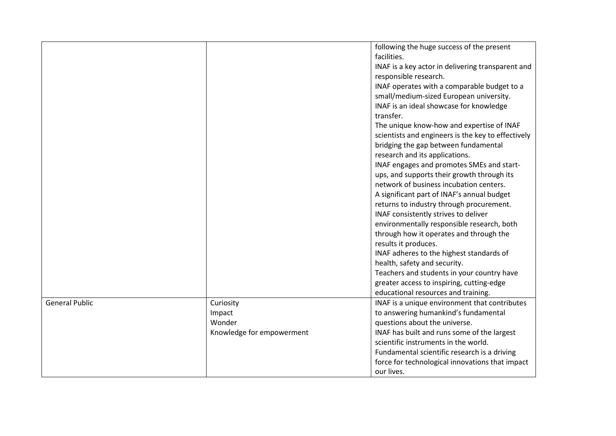|                       |                           | following the huge success of the present          |
|-----------------------|---------------------------|----------------------------------------------------|
|                       |                           | facilities.                                        |
|                       |                           | INAF is a key actor in delivering transparent and  |
|                       |                           | responsible research.                              |
|                       |                           | INAF operates with a comparable budget to a        |
|                       |                           | small/medium-sized European university.            |
|                       |                           | INAF is an ideal showcase for knowledge            |
|                       |                           | transfer.                                          |
|                       |                           | The unique know-how and expertise of INAF          |
|                       |                           | scientists and engineers is the key to effectively |
|                       |                           | bridging the gap between fundamental               |
|                       |                           | research and its applications.                     |
|                       |                           | INAF engages and promotes SMEs and start-          |
|                       |                           | ups, and supports their growth through its         |
|                       |                           | network of business incubation centers.            |
|                       |                           | A significant part of INAF's annual budget         |
|                       |                           | returns to industry through procurement.           |
|                       |                           | INAF consistently strives to deliver               |
|                       |                           | environmentally responsible research, both         |
|                       |                           | through how it operates and through the            |
|                       |                           | results it produces.                               |
|                       |                           | INAF adheres to the highest standards of           |
|                       |                           | health, safety and security.                       |
|                       |                           | Teachers and students in your country have         |
|                       |                           | greater access to inspiring, cutting-edge          |
|                       |                           | educational resources and training.                |
| <b>General Public</b> | Curiosity                 | INAF is a unique environment that contributes      |
|                       | Impact                    | to answering humankind's fundamental               |
|                       | Wonder                    | questions about the universe.                      |
|                       | Knowledge for empowerment | INAF has built and runs some of the largest        |
|                       |                           | scientific instruments in the world.               |
|                       |                           | Fundamental scientific research is a driving       |
|                       |                           | force for technological innovations that impact    |
|                       |                           | our lives.                                         |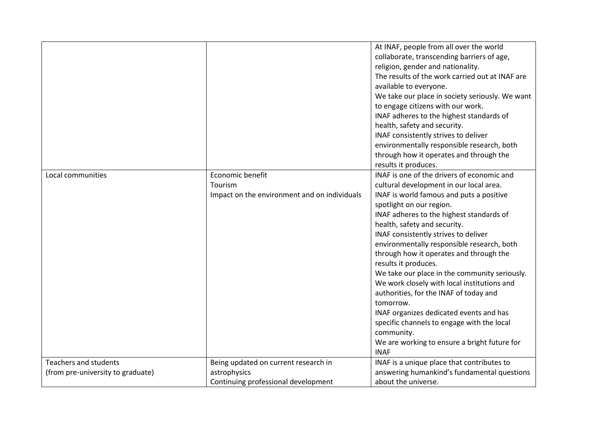|                                   |                                              | At INAF, people from all over the world<br>collaborate, transcending barriers of age, |
|-----------------------------------|----------------------------------------------|---------------------------------------------------------------------------------------|
|                                   |                                              | religion, gender and nationality.                                                     |
|                                   |                                              | The results of the work carried out at INAF are                                       |
|                                   |                                              | available to everyone.                                                                |
|                                   |                                              | We take our place in society seriously. We want                                       |
|                                   |                                              | to engage citizens with our work.                                                     |
|                                   |                                              | INAF adheres to the highest standards of                                              |
|                                   |                                              | health, safety and security.                                                          |
|                                   |                                              | INAF consistently strives to deliver                                                  |
|                                   |                                              | environmentally responsible research, both                                            |
|                                   |                                              | through how it operates and through the                                               |
|                                   |                                              | results it produces.                                                                  |
| Local communities                 | Economic benefit                             | INAF is one of the drivers of economic and                                            |
|                                   | Tourism                                      | cultural development in our local area.                                               |
|                                   | Impact on the environment and on individuals | INAF is world famous and puts a positive                                              |
|                                   |                                              | spotlight on our region.                                                              |
|                                   |                                              | INAF adheres to the highest standards of                                              |
|                                   |                                              | health, safety and security.                                                          |
|                                   |                                              | INAF consistently strives to deliver                                                  |
|                                   |                                              | environmentally responsible research, both                                            |
|                                   |                                              | through how it operates and through the                                               |
|                                   |                                              | results it produces.                                                                  |
|                                   |                                              | We take our place in the community seriously.                                         |
|                                   |                                              | We work closely with local institutions and                                           |
|                                   |                                              | authorities, for the INAF of today and                                                |
|                                   |                                              | tomorrow.                                                                             |
|                                   |                                              | INAF organizes dedicated events and has                                               |
|                                   |                                              | specific channels to engage with the local                                            |
|                                   |                                              | community.                                                                            |
|                                   |                                              | We are working to ensure a bright future for                                          |
|                                   |                                              | <b>INAF</b>                                                                           |
| <b>Teachers and students</b>      | Being updated on current research in         | INAF is a unique place that contributes to                                            |
| (from pre-university to graduate) | astrophysics                                 | answering humankind's fundamental questions<br>about the universe.                    |
|                                   | Continuing professional development          |                                                                                       |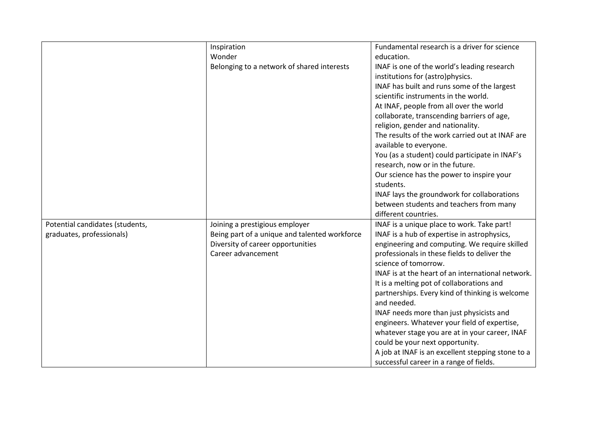|                                 | Inspiration                                   | Fundamental research is a driver for science                                    |
|---------------------------------|-----------------------------------------------|---------------------------------------------------------------------------------|
|                                 | Wonder                                        | education.                                                                      |
|                                 | Belonging to a network of shared interests    | INAF is one of the world's leading research<br>institutions for (astro)physics. |
|                                 |                                               | INAF has built and runs some of the largest                                     |
|                                 |                                               | scientific instruments in the world.                                            |
|                                 |                                               | At INAF, people from all over the world                                         |
|                                 |                                               | collaborate, transcending barriers of age,                                      |
|                                 |                                               | religion, gender and nationality.                                               |
|                                 |                                               | The results of the work carried out at INAF are                                 |
|                                 |                                               | available to everyone.                                                          |
|                                 |                                               | You (as a student) could participate in INAF's                                  |
|                                 |                                               | research, now or in the future.                                                 |
|                                 |                                               | Our science has the power to inspire your                                       |
|                                 |                                               | students.                                                                       |
|                                 |                                               | INAF lays the groundwork for collaborations                                     |
|                                 |                                               | between students and teachers from many                                         |
|                                 |                                               | different countries.                                                            |
| Potential candidates (students, | Joining a prestigious employer                | INAF is a unique place to work. Take part!                                      |
| graduates, professionals)       | Being part of a unique and talented workforce | INAF is a hub of expertise in astrophysics,                                     |
|                                 | Diversity of career opportunities             | engineering and computing. We require skilled                                   |
|                                 | Career advancement                            | professionals in these fields to deliver the                                    |
|                                 |                                               | science of tomorrow.                                                            |
|                                 |                                               | INAF is at the heart of an international network.                               |
|                                 |                                               | It is a melting pot of collaborations and                                       |
|                                 |                                               | partnerships. Every kind of thinking is welcome                                 |
|                                 |                                               | and needed.                                                                     |
|                                 |                                               | INAF needs more than just physicists and                                        |
|                                 |                                               | engineers. Whatever your field of expertise,                                    |
|                                 |                                               | whatever stage you are at in your career, INAF                                  |
|                                 |                                               | could be your next opportunity.                                                 |
|                                 |                                               | A job at INAF is an excellent stepping stone to a                               |
|                                 |                                               | successful career in a range of fields.                                         |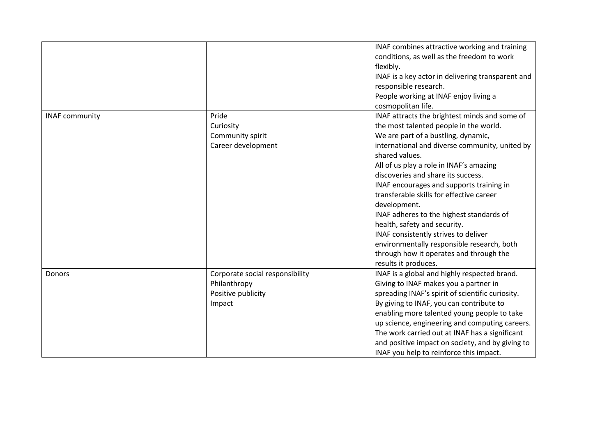|                       |                                 | INAF combines attractive working and training     |
|-----------------------|---------------------------------|---------------------------------------------------|
|                       |                                 | conditions, as well as the freedom to work        |
|                       |                                 | flexibly.                                         |
|                       |                                 | INAF is a key actor in delivering transparent and |
|                       |                                 | responsible research.                             |
|                       |                                 | People working at INAF enjoy living a             |
|                       |                                 | cosmopolitan life.                                |
| <b>INAF community</b> | Pride                           | INAF attracts the brightest minds and some of     |
|                       | Curiosity                       | the most talented people in the world.            |
|                       | Community spirit                | We are part of a bustling, dynamic,               |
|                       | Career development              | international and diverse community, united by    |
|                       |                                 | shared values.                                    |
|                       |                                 | All of us play a role in INAF's amazing           |
|                       |                                 | discoveries and share its success.                |
|                       |                                 | INAF encourages and supports training in          |
|                       |                                 | transferable skills for effective career          |
|                       |                                 | development.                                      |
|                       |                                 | INAF adheres to the highest standards of          |
|                       |                                 | health, safety and security.                      |
|                       |                                 | INAF consistently strives to deliver              |
|                       |                                 | environmentally responsible research, both        |
|                       |                                 | through how it operates and through the           |
|                       |                                 | results it produces.                              |
| Donors                | Corporate social responsibility | INAF is a global and highly respected brand.      |
|                       | Philanthropy                    | Giving to INAF makes you a partner in             |
|                       | Positive publicity              | spreading INAF's spirit of scientific curiosity.  |
|                       | Impact                          | By giving to INAF, you can contribute to          |
|                       |                                 | enabling more talented young people to take       |
|                       |                                 | up science, engineering and computing careers.    |
|                       |                                 | The work carried out at INAF has a significant    |
|                       |                                 | and positive impact on society, and by giving to  |
|                       |                                 | INAF you help to reinforce this impact.           |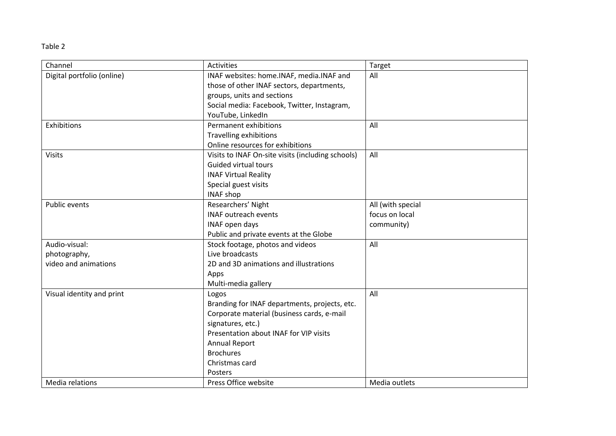#### Table 2

| Channel                    | <b>Activities</b>                                 | Target            |
|----------------------------|---------------------------------------------------|-------------------|
| Digital portfolio (online) | INAF websites: home.INAF, media.INAF and          | All               |
|                            | those of other INAF sectors, departments,         |                   |
|                            | groups, units and sections                        |                   |
|                            | Social media: Facebook, Twitter, Instagram,       |                   |
|                            | YouTube, LinkedIn                                 |                   |
| Exhibitions                | Permanent exhibitions                             | All               |
|                            | <b>Travelling exhibitions</b>                     |                   |
|                            | Online resources for exhibitions                  |                   |
| <b>Visits</b>              | Visits to INAF On-site visits (including schools) | All               |
|                            | <b>Guided virtual tours</b>                       |                   |
|                            | <b>INAF Virtual Reality</b>                       |                   |
|                            | Special guest visits                              |                   |
|                            | <b>INAF shop</b>                                  |                   |
| Public events              | Researchers' Night                                | All (with special |
|                            | <b>INAF outreach events</b>                       | focus on local    |
|                            | INAF open days                                    | community)        |
|                            | Public and private events at the Globe            |                   |
| Audio-visual:              | Stock footage, photos and videos                  | All               |
| photography,               | Live broadcasts                                   |                   |
| video and animations       | 2D and 3D animations and illustrations            |                   |
|                            | Apps                                              |                   |
|                            | Multi-media gallery                               |                   |
| Visual identity and print  | Logos                                             | All               |
|                            | Branding for INAF departments, projects, etc.     |                   |
|                            | Corporate material (business cards, e-mail        |                   |
|                            | signatures, etc.)                                 |                   |
|                            | Presentation about INAF for VIP visits            |                   |
|                            | <b>Annual Report</b>                              |                   |
|                            | <b>Brochures</b>                                  |                   |
|                            | Christmas card                                    |                   |
|                            | Posters                                           |                   |
| Media relations            | Press Office website                              | Media outlets     |